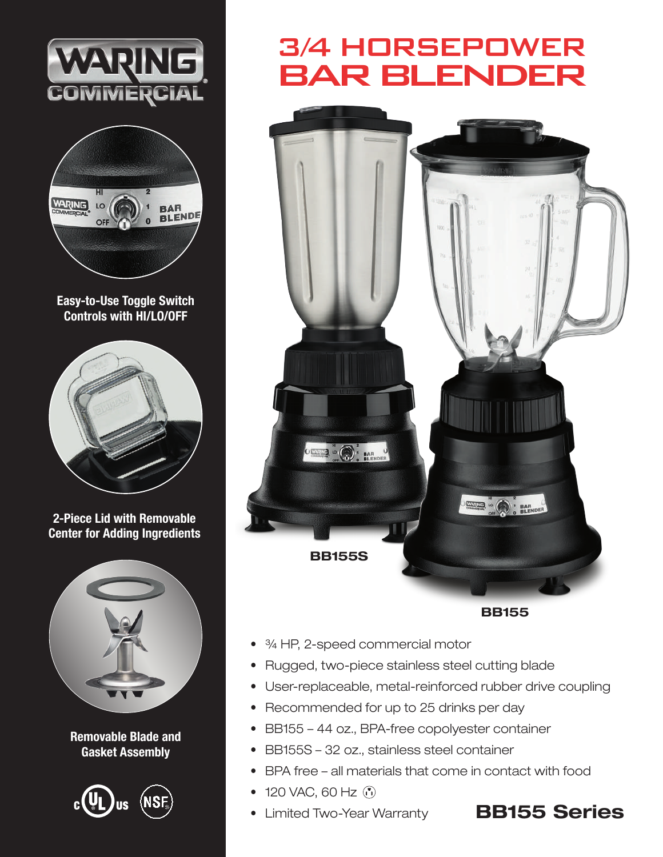



Easy-to-Use Toggle Switch Controls with HI/LO/OFF



2-Piece Lid with Removable Center for Adding Ingredients



Removable Blade and Gasket Assembly



## 3/4 HORSEPOWER BAR BLENDER



BB155

- ¾ HP, 2-speed commercial motor
- Rugged, two-piece stainless steel cutting blade
- User-replaceable, metal-reinforced rubber drive coupling
- Recommended for up to 25 drinks per day
- BB155 44 oz., BPA-free copolyester container
- BB155S 32 oz., stainless steel container
- BPA free all materials that come in contact with food
- 120 VAC, 60 Hz (n)
- 

## • Limited Two-Year Warranty **BB155 Series**